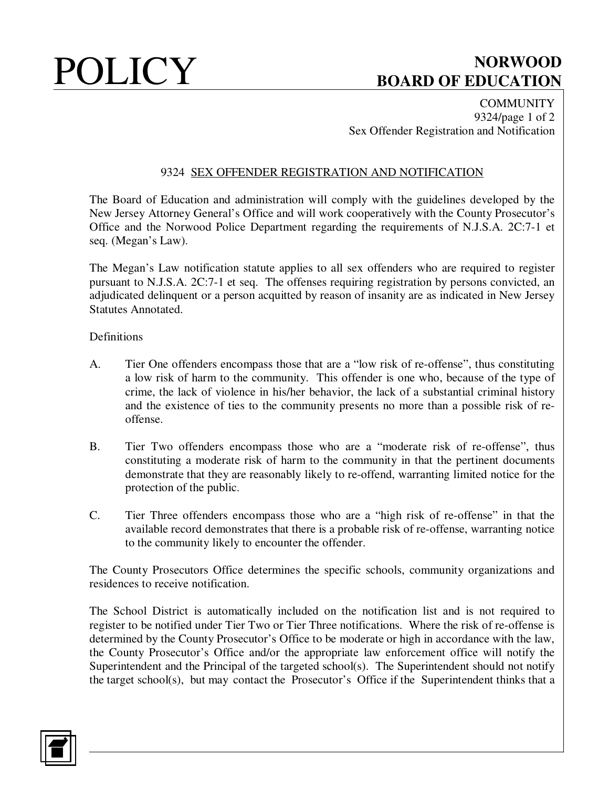# POLICY BOARD OF EDUCATION **BOARD OF EDUCATION**

**COMMUNITY** 9324/page 1 of 2 Sex Offender Registration and Notification

## 9324 SEX OFFENDER REGISTRATION AND NOTIFICATION

The Board of Education and administration will comply with the guidelines developed by the New Jersey Attorney General's Office and will work cooperatively with the County Prosecutor's Office and the Norwood Police Department regarding the requirements of N.J.S.A. 2C:7-1 et seq. (Megan's Law).

The Megan's Law notification statute applies to all sex offenders who are required to register pursuant to N.J.S.A. 2C:7-1 et seq. The offenses requiring registration by persons convicted, an adjudicated delinquent or a person acquitted by reason of insanity are as indicated in New Jersey Statutes Annotated.

### Definitions

- A. Tier One offenders encompass those that are a "low risk of re-offense", thus constituting a low risk of harm to the community. This offender is one who, because of the type of crime, the lack of violence in his/her behavior, the lack of a substantial criminal history and the existence of ties to the community presents no more than a possible risk of reoffense.
- B. Tier Two offenders encompass those who are a "moderate risk of re-offense", thus constituting a moderate risk of harm to the community in that the pertinent documents demonstrate that they are reasonably likely to re-offend, warranting limited notice for the protection of the public.
- C. Tier Three offenders encompass those who are a "high risk of re-offense" in that the available record demonstrates that there is a probable risk of re-offense, warranting notice to the community likely to encounter the offender.

The County Prosecutors Office determines the specific schools, community organizations and residences to receive notification.

The School District is automatically included on the notification list and is not required to register to be notified under Tier Two or Tier Three notifications. Where the risk of re-offense is determined by the County Prosecutor's Office to be moderate or high in accordance with the law, the County Prosecutor's Office and/or the appropriate law enforcement office will notify the Superintendent and the Principal of the targeted school(s). The Superintendent should not notify the target school(s), but may contact the Prosecutor's Office if the Superintendent thinks that a